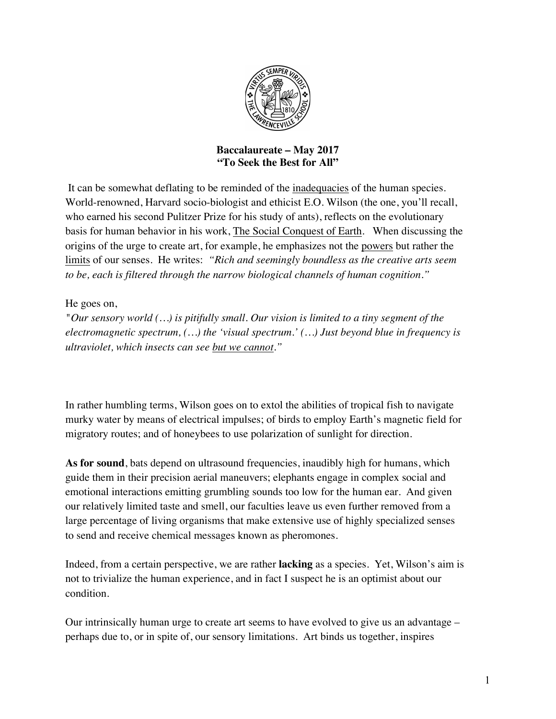

## **Baccalaureate – May 2017 "To Seek the Best for All"**

It can be somewhat deflating to be reminded of the inadequacies of the human species. World-renowned, Harvard socio-biologist and ethicist E.O. Wilson (the one, you'll recall, who earned his second Pulitzer Prize for his study of ants), reflects on the evolutionary basis for human behavior in his work, The Social Conquest of Earth. When discussing the origins of the urge to create art, for example, he emphasizes not the powers but rather the limits of our senses. He writes: *"Rich and seemingly boundless as the creative arts seem to be, each is filtered through the narrow biological channels of human cognition."*

## He goes on,

*"Our sensory world (…) is pitifully small. Our vision is limited to a tiny segment of the electromagnetic spectrum, (…) the 'visual spectrum.' (…) Just beyond blue in frequency is ultraviolet, which insects can see but we cannot."*

In rather humbling terms, Wilson goes on to extol the abilities of tropical fish to navigate murky water by means of electrical impulses; of birds to employ Earth's magnetic field for migratory routes; and of honeybees to use polarization of sunlight for direction.

**As for sound**, bats depend on ultrasound frequencies, inaudibly high for humans, which guide them in their precision aerial maneuvers; elephants engage in complex social and emotional interactions emitting grumbling sounds too low for the human ear. And given our relatively limited taste and smell, our faculties leave us even further removed from a large percentage of living organisms that make extensive use of highly specialized senses to send and receive chemical messages known as pheromones.

Indeed, from a certain perspective, we are rather **lacking** as a species. Yet, Wilson's aim is not to trivialize the human experience, and in fact I suspect he is an optimist about our condition.

Our intrinsically human urge to create art seems to have evolved to give us an advantage – perhaps due to, or in spite of, our sensory limitations. Art binds us together, inspires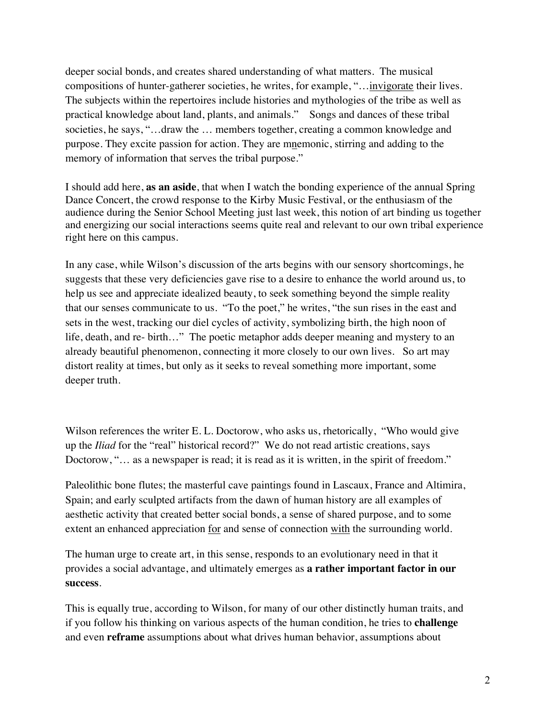deeper social bonds, and creates shared understanding of what matters. The musical compositions of hunter-gatherer societies, he writes, for example, "…invigorate their lives. The subjects within the repertoires include histories and mythologies of the tribe as well as practical knowledge about land, plants, and animals." Songs and dances of these tribal societies, he says, "...draw the ... members together, creating a common knowledge and purpose. They excite passion for action. They are mnemonic, stirring and adding to the memory of information that serves the tribal purpose."

I should add here, **as an aside**, that when I watch the bonding experience of the annual Spring Dance Concert, the crowd response to the Kirby Music Festival, or the enthusiasm of the audience during the Senior School Meeting just last week, this notion of art binding us together and energizing our social interactions seems quite real and relevant to our own tribal experience right here on this campus.

In any case, while Wilson's discussion of the arts begins with our sensory shortcomings, he suggests that these very deficiencies gave rise to a desire to enhance the world around us, to help us see and appreciate idealized beauty, to seek something beyond the simple reality that our senses communicate to us. "To the poet," he writes, "the sun rises in the east and sets in the west, tracking our diel cycles of activity, symbolizing birth, the high noon of life, death, and re- birth…" The poetic metaphor adds deeper meaning and mystery to an already beautiful phenomenon, connecting it more closely to our own lives. So art may distort reality at times, but only as it seeks to reveal something more important, some deeper truth.

Wilson references the writer E. L. Doctorow, who asks us, rhetorically, "Who would give up the *Iliad* for the "real" historical record?" We do not read artistic creations, says Doctorow, "... as a newspaper is read; it is read as it is written, in the spirit of freedom."

Paleolithic bone flutes; the masterful cave paintings found in Lascaux, France and Altimira, Spain; and early sculpted artifacts from the dawn of human history are all examples of aesthetic activity that created better social bonds, a sense of shared purpose, and to some extent an enhanced appreciation <u>for</u> and sense of connection with the surrounding world.

The human urge to create art, in this sense, responds to an evolutionary need in that it provides a social advantage, and ultimately emerges as **a rather important factor in our success**.

This is equally true, according to Wilson, for many of our other distinctly human traits, and if you follow his thinking on various aspects of the human condition, he tries to **challenge** and even **reframe** assumptions about what drives human behavior, assumptions about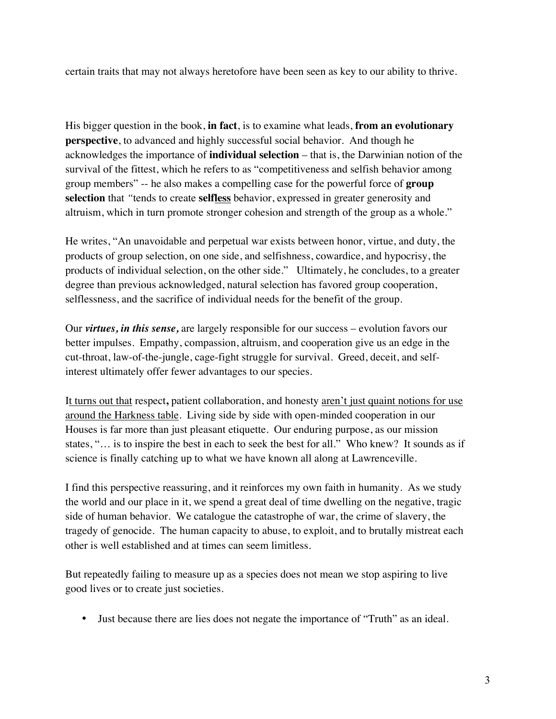certain traits that may not always heretofore have been seen as key to our ability to thrive.

His bigger question in the book, **in fact**, is to examine what leads, **from an evolutionary perspective**, to advanced and highly successful social behavior. And though he acknowledges the importance of **individual selection** – that is, the Darwinian notion of the survival of the fittest, which he refers to as "competitiveness and selfish behavior among group members" -- he also makes a compelling case for the powerful force of **group selection** that *"*tends to create **selfless** behavior, expressed in greater generosity and altruism, which in turn promote stronger cohesion and strength of the group as a whole."

He writes, "An unavoidable and perpetual war exists between honor, virtue, and duty, the products of group selection, on one side, and selfishness, cowardice, and hypocrisy, the products of individual selection, on the other side." Ultimately, he concludes, to a greater degree than previous acknowledged, natural selection has favored group cooperation, selflessness, and the sacrifice of individual needs for the benefit of the group.

Our *virtues, in this sense,* are largely responsible for our success – evolution favors our better impulses. Empathy, compassion, altruism, and cooperation give us an edge in the cut-throat, law-of-the-jungle, cage-fight struggle for survival. Greed, deceit, and selfinterest ultimately offer fewer advantages to our species.

It turns out that respect**,** patient collaboration, and honesty aren't just quaint notions for use around the Harkness table. Living side by side with open-minded cooperation in our Houses is far more than just pleasant etiquette. Our enduring purpose, as our mission states, "… is to inspire the best in each to seek the best for all." Who knew? It sounds as if science is finally catching up to what we have known all along at Lawrenceville.

I find this perspective reassuring, and it reinforces my own faith in humanity. As we study the world and our place in it, we spend a great deal of time dwelling on the negative, tragic side of human behavior. We catalogue the catastrophe of war, the crime of slavery, the tragedy of genocide. The human capacity to abuse, to exploit, and to brutally mistreat each other is well established and at times can seem limitless.

But repeatedly failing to measure up as a species does not mean we stop aspiring to live good lives or to create just societies.

• Just because there are lies does not negate the importance of "Truth" as an ideal.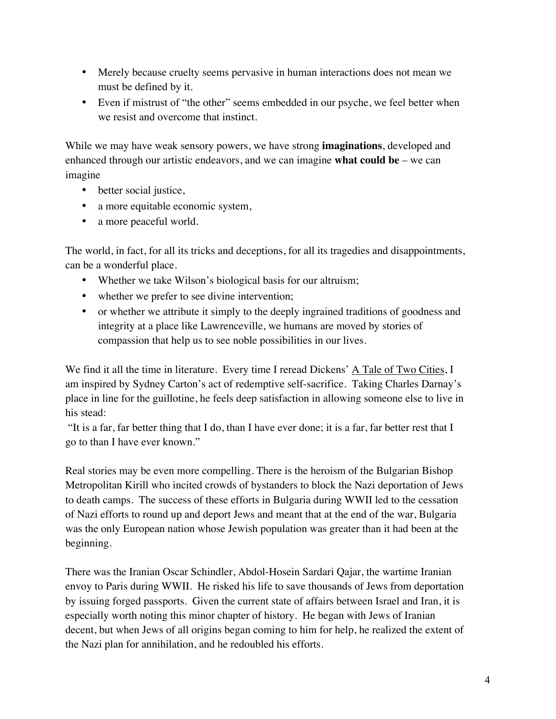- Merely because cruelty seems pervasive in human interactions does not mean we must be defined by it.
- Even if mistrust of "the other" seems embedded in our psyche, we feel better when we resist and overcome that instinct.

While we may have weak sensory powers, we have strong **imaginations**, developed and enhanced through our artistic endeavors, and we can imagine **what could be** – we can imagine

- better social justice,
- a more equitable economic system,
- a more peaceful world.

The world, in fact, for all its tricks and deceptions, for all its tragedies and disappointments, can be a wonderful place.

- Whether we take Wilson's biological basis for our altruism;
- whether we prefer to see divine intervention;
- or whether we attribute it simply to the deeply ingrained traditions of goodness and integrity at a place like Lawrenceville, we humans are moved by stories of compassion that help us to see noble possibilities in our lives.

We find it all the time in literature. Every time I reread Dickens' A Tale of Two Cities, I am inspired by Sydney Carton's act of redemptive self-sacrifice. Taking Charles Darnay's place in line for the guillotine, he feels deep satisfaction in allowing someone else to live in his stead:

"It is a far, far better thing that I do, than I have ever done; it is a far, far better rest that I go to than I have ever known."

Real stories may be even more compelling. There is the heroism of the Bulgarian Bishop Metropolitan Kirill who incited crowds of bystanders to block the Nazi deportation of Jews to death camps. The success of these efforts in Bulgaria during WWII led to the cessation of Nazi efforts to round up and deport Jews and meant that at the end of the war, Bulgaria was the only European nation whose Jewish population was greater than it had been at the beginning.

There was the Iranian Oscar Schindler, Abdol-Hosein Sardari Qajar, the wartime Iranian envoy to Paris during WWII. He risked his life to save thousands of Jews from deportation by issuing forged passports. Given the current state of affairs between Israel and Iran, it is especially worth noting this minor chapter of history. He began with Jews of Iranian decent, but when Jews of all origins began coming to him for help, he realized the extent of the Nazi plan for annihilation, and he redoubled his efforts.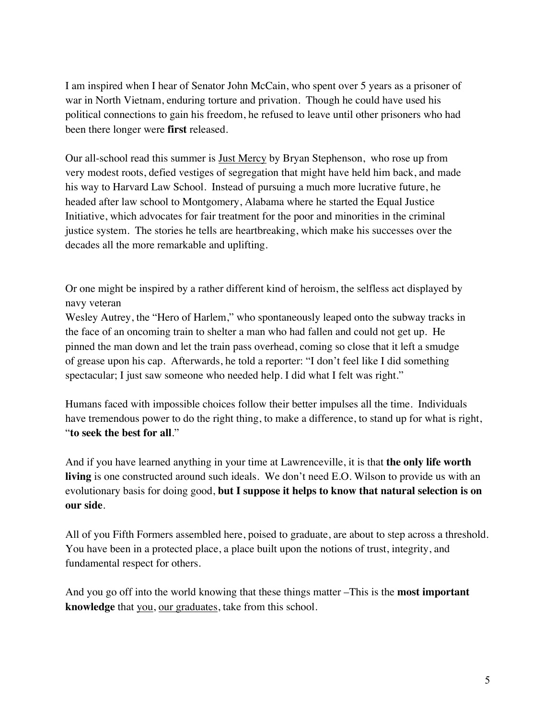I am inspired when I hear of Senator John McCain, who spent over 5 years as a prisoner of war in North Vietnam, enduring torture and privation. Though he could have used his political connections to gain his freedom, he refused to leave until other prisoners who had been there longer were **first** released.

Our all-school read this summer is Just Mercy by Bryan Stephenson, who rose up from very modest roots, defied vestiges of segregation that might have held him back, and made his way to Harvard Law School. Instead of pursuing a much more lucrative future, he headed after law school to Montgomery, Alabama where he started the Equal Justice Initiative, which advocates for fair treatment for the poor and minorities in the criminal justice system. The stories he tells are heartbreaking, which make his successes over the decades all the more remarkable and uplifting.

Or one might be inspired by a rather different kind of heroism, the selfless act displayed by navy veteran

Wesley Autrey, the "Hero of Harlem," who spontaneously leaped onto the subway tracks in the face of an oncoming train to shelter a man who had fallen and could not get up. He pinned the man down and let the train pass overhead, coming so close that it left a smudge of grease upon his cap. Afterwards, he told a reporter: "I don't feel like I did something spectacular; I just saw someone who needed help. I did what I felt was right."

Humans faced with impossible choices follow their better impulses all the time. Individuals have tremendous power to do the right thing, to make a difference, to stand up for what is right, "**to seek the best for all**."

And if you have learned anything in your time at Lawrenceville, it is that **the only life worth living** is one constructed around such ideals. We don't need E.O. Wilson to provide us with an evolutionary basis for doing good, **but I suppose it helps to know that natural selection is on our side**.

All of you Fifth Formers assembled here, poised to graduate, are about to step across a threshold. You have been in a protected place, a place built upon the notions of trust, integrity, and fundamental respect for others.

And you go off into the world knowing that these things matter –This is the **most important knowledge** that you, our graduates, take from this school.